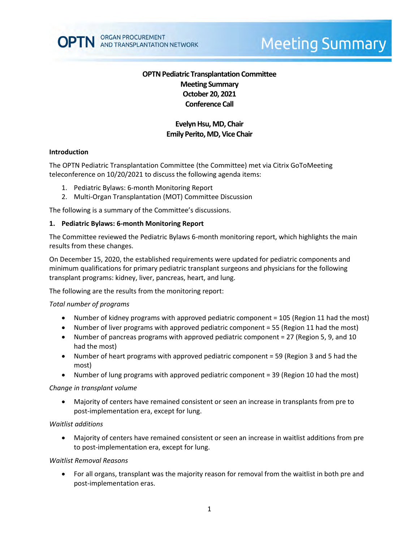

# **Meeting Summary**

## **OPTN Pediatric Transplantation Committee Meeting Summary October 20, 2021 Conference Call**

## **Evelyn Hsu, MD, Chair Emily Perito, MD, Vice Chair**

#### **Introduction**

The OPTN Pediatric Transplantation Committee (the Committee) met via Citrix GoToMeeting teleconference on 10/20/2021 to discuss the following agenda items:

- 1. Pediatric Bylaws: 6-month Monitoring Report
- 2. Multi-Organ Transplantation (MOT) Committee Discussion

The following is a summary of the Committee's discussions.

#### **1. Pediatric Bylaws: 6-month Monitoring Report**

The Committee reviewed the Pediatric Bylaws 6-month monitoring report, which highlights the main results from these changes.

On December 15, 2020, the established requirements were updated for pediatric components and minimum qualifications for primary pediatric transplant surgeons and physicians for the following transplant programs: kidney, liver, pancreas, heart, and lung.

The following are the results from the monitoring report:

#### *Total number of programs*

- Number of kidney programs with approved pediatric component = 105 (Region 11 had the most)
- Number of liver programs with approved pediatric component = 55 (Region 11 had the most)
- Number of pancreas programs with approved pediatric component = 27 (Region 5, 9, and 10 had the most)
- Number of heart programs with approved pediatric component = 59 (Region 3 and 5 had the most)
- Number of lung programs with approved pediatric component = 39 (Region 10 had the most)

#### *Change in transplant volume*

 Majority of centers have remained consistent or seen an increase in transplants from pre to post-implementation era, except for lung.

#### *Waitlist additions*

 Majority of centers have remained consistent or seen an increase in waitlist additions from pre to post-implementation era, except for lung.

#### *Waitlist Removal Reasons*

 For all organs, transplant was the majority reason for removal from the waitlist in both pre and post-implementation eras.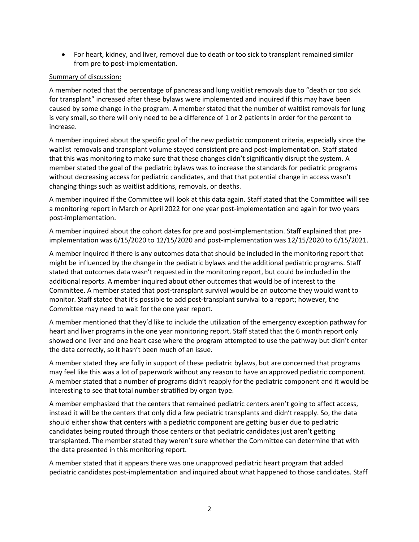For heart, kidney, and liver, removal due to death or too sick to transplant remained similar from pre to post-implementation.

### Summary of discussion:

A member noted that the percentage of pancreas and lung waitlist removals due to "death or too sick for transplant" increased after these bylaws were implemented and inquired if this may have been caused by some change in the program. A member stated that the number of waitlist removals for lung is very small, so there will only need to be a difference of 1 or 2 patients in order for the percent to increase.

A member inquired about the specific goal of the new pediatric component criteria, especially since the waitlist removals and transplant volume stayed consistent pre and post-implementation. Staff stated that this was monitoring to make sure that these changes didn't significantly disrupt the system. A member stated the goal of the pediatric bylaws was to increase the standards for pediatric programs without decreasing access for pediatric candidates, and that that potential change in access wasn't changing things such as waitlist additions, removals, or deaths.

A member inquired if the Committee will look at this data again. Staff stated that the Committee will see a monitoring report in March or April 2022 for one year post-implementation and again for two years post-implementation.

A member inquired about the cohort dates for pre and post-implementation. Staff explained that preimplementation was 6/15/2020 to 12/15/2020 and post-implementation was 12/15/2020 to 6/15/2021.

A member inquired if there is any outcomes data that should be included in the monitoring report that might be influenced by the change in the pediatric bylaws and the additional pediatric programs. Staff stated that outcomes data wasn't requested in the monitoring report, but could be included in the additional reports. A member inquired about other outcomes that would be of interest to the Committee. A member stated that post-transplant survival would be an outcome they would want to monitor. Staff stated that it's possible to add post-transplant survival to a report; however, the Committee may need to wait for the one year report.

A member mentioned that they'd like to include the utilization of the emergency exception pathway for heart and liver programs in the one year monitoring report. Staff stated that the 6 month report only showed one liver and one heart case where the program attempted to use the pathway but didn't enter the data correctly, so it hasn't been much of an issue.

A member stated they are fully in support of these pediatric bylaws, but are concerned that programs may feel like this was a lot of paperwork without any reason to have an approved pediatric component. A member stated that a number of programs didn't reapply for the pediatric component and it would be interesting to see that total number stratified by organ type.

A member emphasized that the centers that remained pediatric centers aren't going to affect access, instead it will be the centers that only did a few pediatric transplants and didn't reapply. So, the data should either show that centers with a pediatric component are getting busier due to pediatric candidates being routed through those centers or that pediatric candidates just aren't getting transplanted. The member stated they weren't sure whether the Committee can determine that with the data presented in this monitoring report.

A member stated that it appears there was one unapproved pediatric heart program that added pediatric candidates post-implementation and inquired about what happened to those candidates. Staff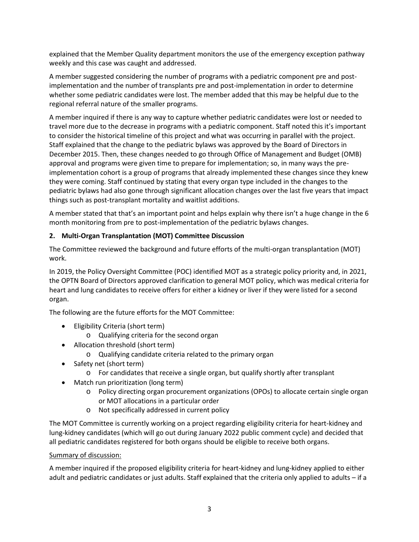explained that the Member Quality department monitors the use of the emergency exception pathway weekly and this case was caught and addressed.

A member suggested considering the number of programs with a pediatric component pre and postimplementation and the number of transplants pre and post-implementation in order to determine whether some pediatric candidates were lost. The member added that this may be helpful due to the regional referral nature of the smaller programs.

A member inquired if there is any way to capture whether pediatric candidates were lost or needed to travel more due to the decrease in programs with a pediatric component. Staff noted this it's important to consider the historical timeline of this project and what was occurring in parallel with the project. Staff explained that the change to the pediatric bylaws was approved by the Board of Directors in December 2015. Then, these changes needed to go through Office of Management and Budget (OMB) approval and programs were given time to prepare for implementation; so, in many ways the preimplementation cohort is a group of programs that already implemented these changes since they knew they were coming. Staff continued by stating that every organ type included in the changes to the pediatric bylaws had also gone through significant allocation changes over the last five years that impact things such as post-transplant mortality and waitlist additions.

A member stated that that's an important point and helps explain why there isn't a huge change in the 6 month monitoring from pre to post-implementation of the pediatric bylaws changes.

## **2. Multi-Organ Transplantation (MOT) Committee Discussion**

The Committee reviewed the background and future efforts of the multi-organ transplantation (MOT) work.

In 2019, the Policy Oversight Committee (POC) identified MOT as a strategic policy priority and, in 2021, the OPTN Board of Directors approved clarification to general MOT policy, which was medical criteria for heart and lung candidates to receive offers for either a kidney or liver if they were listed for a second organ.

The following are the future efforts for the MOT Committee:

- Eligibility Criteria (short term)
	- o Qualifying criteria for the second organ
- Allocation threshold (short term)
	- o Qualifying candidate criteria related to the primary organ
- Safety net (short term)
	- o For candidates that receive a single organ, but qualify shortly after transplant
- Match run prioritization (long term)
	- o Policy directing organ procurement organizations (OPOs) to allocate certain single organ or MOT allocations in a particular order
	- o Not specifically addressed in current policy

The MOT Committee is currently working on a project regarding eligibility criteria for heart-kidney and lung-kidney candidates (which will go out during January 2022 public comment cycle) and decided that all pediatric candidates registered for both organs should be eligible to receive both organs.

## Summary of discussion:

A member inquired if the proposed eligibility criteria for heart-kidney and lung-kidney applied to either adult and pediatric candidates or just adults. Staff explained that the criteria only applied to adults – if a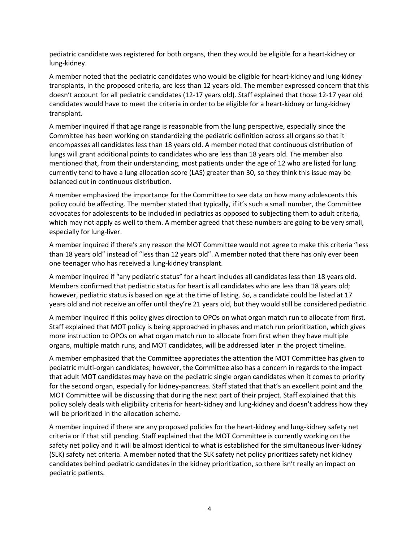pediatric candidate was registered for both organs, then they would be eligible for a heart-kidney or lung-kidney.

A member noted that the pediatric candidates who would be eligible for heart-kidney and lung-kidney transplants, in the proposed criteria, are less than 12 years old. The member expressed concern that this doesn't account for all pediatric candidates (12-17 years old). Staff explained that those 12-17 year old candidates would have to meet the criteria in order to be eligible for a heart-kidney or lung-kidney transplant.

A member inquired if that age range is reasonable from the lung perspective, especially since the Committee has been working on standardizing the pediatric definition across all organs so that it encompasses all candidates less than 18 years old. A member noted that continuous distribution of lungs will grant additional points to candidates who are less than 18 years old. The member also mentioned that, from their understanding, most patients under the age of 12 who are listed for lung currently tend to have a lung allocation score (LAS) greater than 30, so they think this issue may be balanced out in continuous distribution.

A member emphasized the importance for the Committee to see data on how many adolescents this policy could be affecting. The member stated that typically, if it's such a small number, the Committee advocates for adolescents to be included in pediatrics as opposed to subjecting them to adult criteria, which may not apply as well to them. A member agreed that these numbers are going to be very small, especially for lung-liver.

A member inquired if there's any reason the MOT Committee would not agree to make this criteria "less than 18 years old" instead of "less than 12 years old". A member noted that there has only ever been one teenager who has received a lung-kidney transplant.

A member inquired if "any pediatric status" for a heart includes all candidates less than 18 years old. Members confirmed that pediatric status for heart is all candidates who are less than 18 years old; however, pediatric status is based on age at the time of listing. So, a candidate could be listed at 17 years old and not receive an offer until they're 21 years old, but they would still be considered pediatric.

A member inquired if this policy gives direction to OPOs on what organ match run to allocate from first. Staff explained that MOT policy is being approached in phases and match run prioritization, which gives more instruction to OPOs on what organ match run to allocate from first when they have multiple organs, multiple match runs, and MOT candidates, will be addressed later in the project timeline.

A member emphasized that the Committee appreciates the attention the MOT Committee has given to pediatric multi-organ candidates; however, the Committee also has a concern in regards to the impact that adult MOT candidates may have on the pediatric single organ candidates when it comes to priority for the second organ, especially for kidney-pancreas. Staff stated that that's an excellent point and the MOT Committee will be discussing that during the next part of their project. Staff explained that this policy solely deals with eligibility criteria for heart-kidney and lung-kidney and doesn't address how they will be prioritized in the allocation scheme.

A member inquired if there are any proposed policies for the heart-kidney and lung-kidney safety net criteria or if that still pending. Staff explained that the MOT Committee is currently working on the safety net policy and it will be almost identical to what is established for the simultaneous liver-kidney (SLK) safety net criteria. A member noted that the SLK safety net policy prioritizes safety net kidney candidates behind pediatric candidates in the kidney prioritization, so there isn't really an impact on pediatric patients.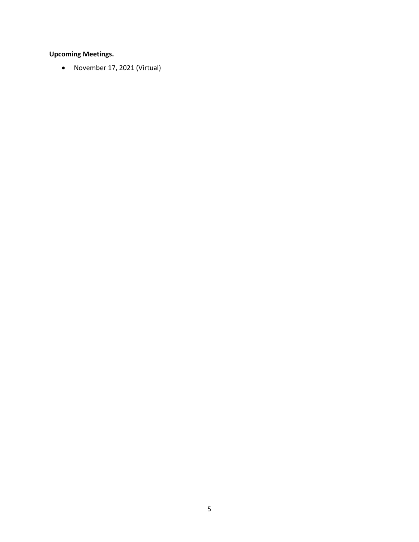## **Upcoming Meetings.**

November 17, 2021 (Virtual)